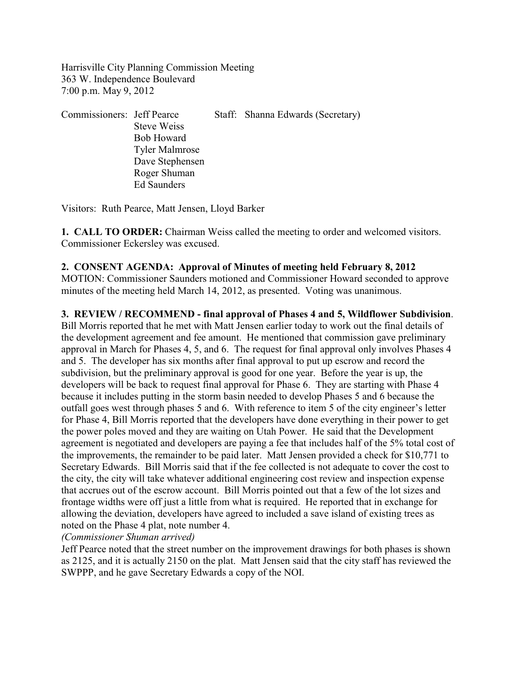Harrisville City Planning Commission Meeting 363 W. Independence Boulevard 7:00 p.m. May 9, 2012

Commissioners: Jeff Pearce Staff: Shanna Edwards (Secretary) Steve Weiss Bob Howard Tyler Malmrose Dave Stephensen Roger Shuman Ed Saunders

Visitors: Ruth Pearce, Matt Jensen, Lloyd Barker

**1. CALL TO ORDER:** Chairman Weiss called the meeting to order and welcomed visitors. Commissioner Eckersley was excused.

**2. CONSENT AGENDA: Approval of Minutes of meeting held February 8, 2012** MOTION: Commissioner Saunders motioned and Commissioner Howard seconded to approve minutes of the meeting held March 14, 2012, as presented. Voting was unanimous.

## **3. REVIEW / RECOMMEND - final approval of Phases 4 and 5, Wildflower Subdivision**.

Bill Morris reported that he met with Matt Jensen earlier today to work out the final details of the development agreement and fee amount. He mentioned that commission gave preliminary approval in March for Phases 4, 5, and 6. The request for final approval only involves Phases 4 and 5. The developer has six months after final approval to put up escrow and record the subdivision, but the preliminary approval is good for one year. Before the year is up, the developers will be back to request final approval for Phase 6. They are starting with Phase 4 because it includes putting in the storm basin needed to develop Phases 5 and 6 because the outfall goes west through phases 5 and 6. With reference to item 5 of the city engineer's letter for Phase 4, Bill Morris reported that the developers have done everything in their power to get the power poles moved and they are waiting on Utah Power. He said that the Development agreement is negotiated and developers are paying a fee that includes half of the 5% total cost of the improvements, the remainder to be paid later. Matt Jensen provided a check for \$10,771 to Secretary Edwards. Bill Morris said that if the fee collected is not adequate to cover the cost to the city, the city will take whatever additional engineering cost review and inspection expense that accrues out of the escrow account. Bill Morris pointed out that a few of the lot sizes and frontage widths were off just a little from what is required. He reported that in exchange for allowing the deviation, developers have agreed to included a save island of existing trees as noted on the Phase 4 plat, note number 4.

*(Commissioner Shuman arrived)*

Jeff Pearce noted that the street number on the improvement drawings for both phases is shown as 2125, and it is actually 2150 on the plat. Matt Jensen said that the city staff has reviewed the SWPPP, and he gave Secretary Edwards a copy of the NOI.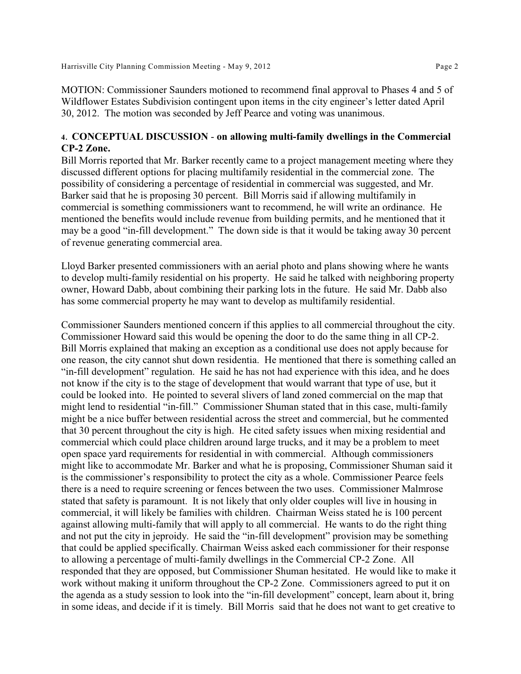MOTION: Commissioner Saunders motioned to recommend final approval to Phases 4 and 5 of Wildflower Estates Subdivision contingent upon items in the city engineer's letter dated April 30, 2012. The motion was seconded by Jeff Pearce and voting was unanimous.

## **4. CONCEPTUAL DISCUSSION** - **on allowing multi-family dwellings in the Commercial CP-2 Zone.**

Bill Morris reported that Mr. Barker recently came to a project management meeting where they discussed different options for placing multifamily residential in the commercial zone. The possibility of considering a percentage of residential in commercial was suggested, and Mr. Barker said that he is proposing 30 percent. Bill Morris said if allowing multifamily in commercial is something commissioners want to recommend, he will write an ordinance. He mentioned the benefits would include revenue from building permits, and he mentioned that it may be a good "in-fill development." The down side is that it would be taking away 30 percent of revenue generating commercial area.

Lloyd Barker presented commissioners with an aerial photo and plans showing where he wants to develop multi-family residential on his property. He said he talked with neighboring property owner, Howard Dabb, about combining their parking lots in the future. He said Mr. Dabb also has some commercial property he may want to develop as multifamily residential.

Commissioner Saunders mentioned concern if this applies to all commercial throughout the city. Commissioner Howard said this would be opening the door to do the same thing in all CP-2. Bill Morris explained that making an exception as a conditional use does not apply because for one reason, the city cannot shut down residentia. He mentioned that there is something called an "in-fill development" regulation. He said he has not had experience with this idea, and he does not know if the city is to the stage of development that would warrant that type of use, but it could be looked into. He pointed to several slivers of land zoned commercial on the map that might lend to residential "in-fill." Commissioner Shuman stated that in this case, multi-family might be a nice buffer between residential across the street and commercial, but he commented that 30 percent throughout the city is high. He cited safety issues when mixing residential and commercial which could place children around large trucks, and it may be a problem to meet open space yard requirements for residential in with commercial. Although commissioners might like to accommodate Mr. Barker and what he is proposing, Commissioner Shuman said it is the commissioner's responsibility to protect the city as a whole. Commissioner Pearce feels there is a need to require screening or fences between the two uses. Commissioner Malmrose stated that safety is paramount. It is not likely that only older couples will live in housing in commercial, it will likely be families with children. Chairman Weiss stated he is 100 percent against allowing multi-family that will apply to all commercial. He wants to do the right thing and not put the city in jeproidy. He said the "in-fill development" provision may be something that could be applied specifically. Chairman Weiss asked each commissioner for their response to allowing a percentage of multi-family dwellings in the Commercial CP-2 Zone. All responded that they are opposed, but Commissioner Shuman hesitated. He would like to make it work without making it uniform throughout the CP-2 Zone. Commissioners agreed to put it on the agenda as a study session to look into the "in-fill development" concept, learn about it, bring in some ideas, and decide if it is timely. Bill Morris said that he does not want to get creative to